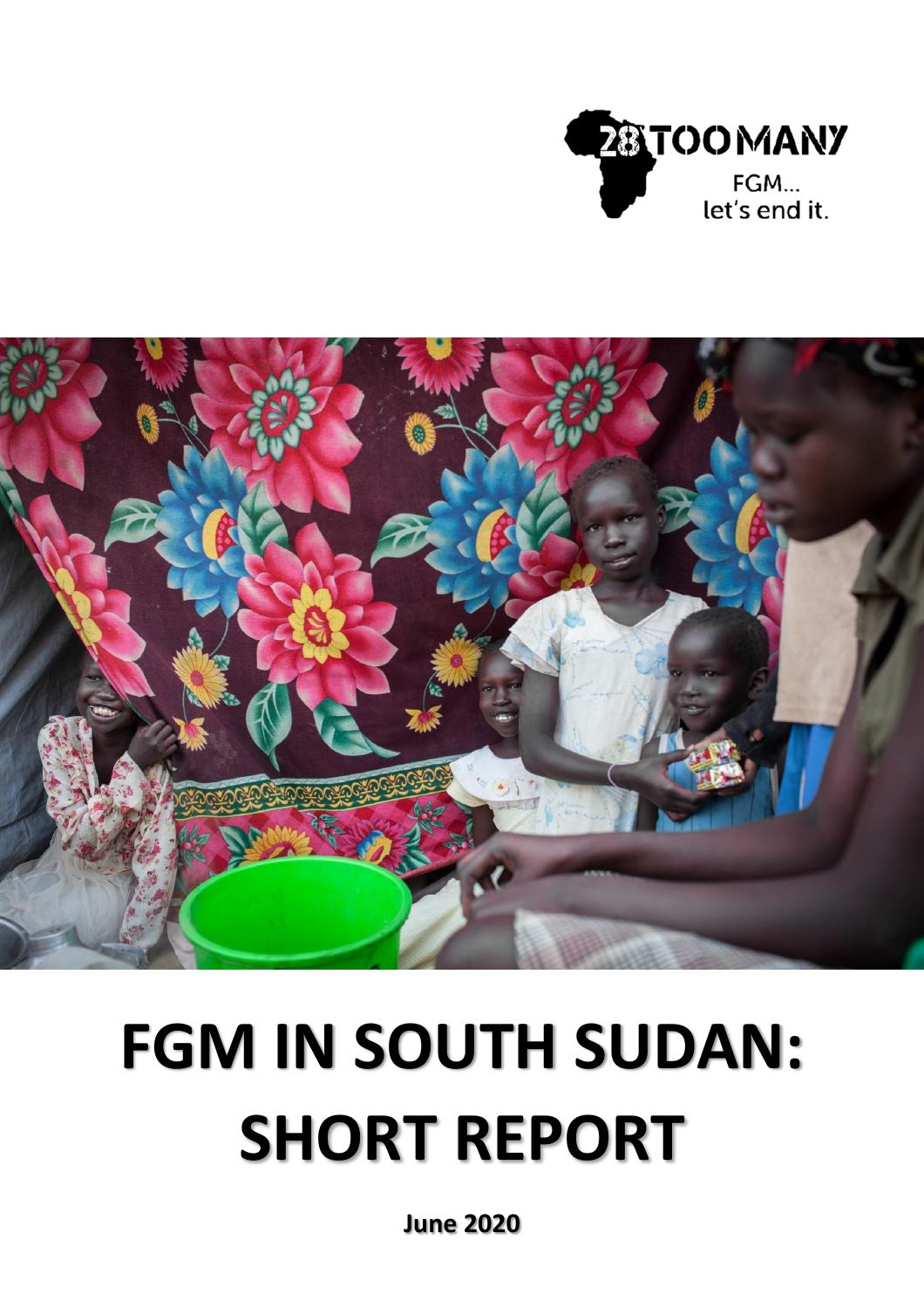



# **FGM IN SOUTH SUDAN: SHORT REPORT**

**June 2020**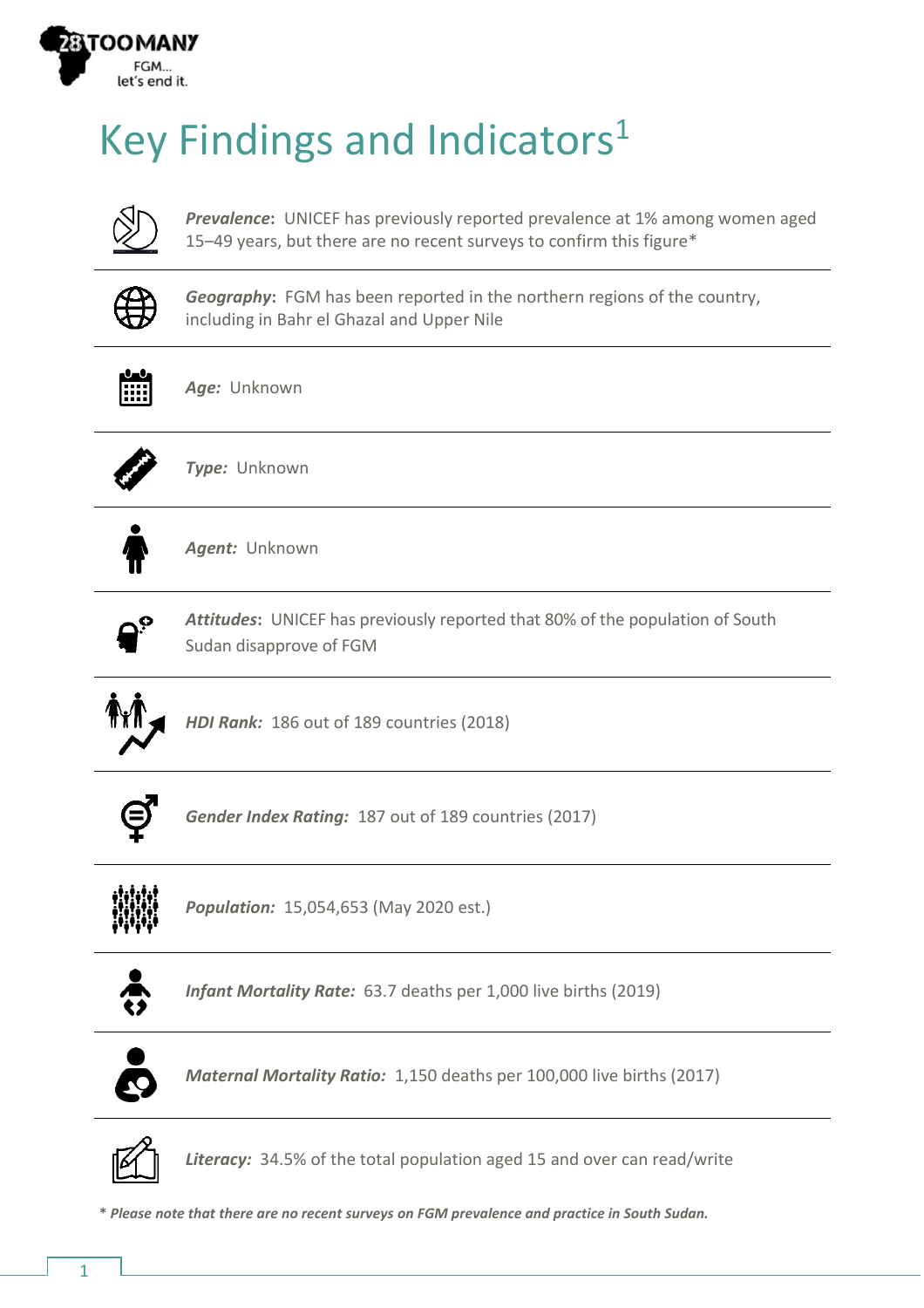

## Key Findings and Indicators<sup>1</sup>



*Prevalence***:** UNICEF has previously reported prevalence at 1% among women aged 15–49 years, but there are no recent surveys to confirm this figure\*



*Geography***:** FGM has been reported in the northern regions of the country, including in Bahr el Ghazal and Upper Nile



*Age:* Unknown



*Type:* Unknown



*Agent:* Unknown



*Attitudes***:** UNICEF has previously reported that 80% of the population of South Sudan disapprove of FGM



*HDI Rank:* 186 out of 189 countries (2018)



*Gender Index Rating:* 187 out of 189 countries (2017)



*Population:* 15,054,653 (May 2020 est.)



*Infant Mortality Rate:* 63.7 deaths per 1,000 live births (2019)



*Maternal Mortality Ratio:* 1,150 deaths per 100,000 live births (2017)



*Literacy:* 34.5% of the total population aged 15 and over can read/write

**\*** *Please note that there are no recent surveys on FGM prevalence and practice in South Sudan.*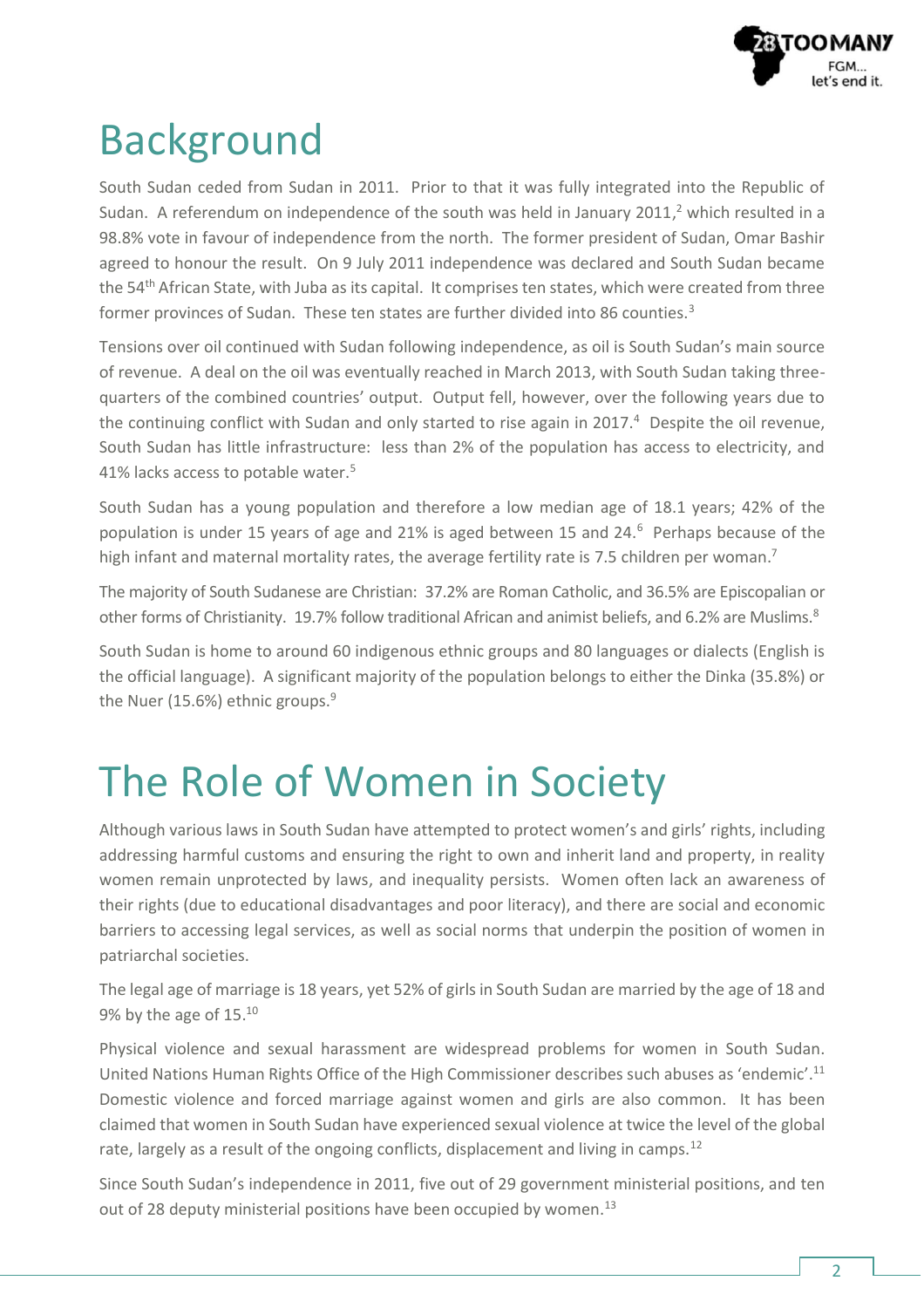

### Background

South Sudan ceded from Sudan in 2011. Prior to that it was fully integrated into the Republic of Sudan. A referendum on independence of the south was held in January 2011, <sup>2</sup> which resulted in a 98.8% vote in favour of independence from the north. The former president of Sudan, Omar Bashir agreed to honour the result. On 9 July 2011 independence was declared and South Sudan became the 54<sup>th</sup> African State, with Juba as its capital. It comprises ten states, which were created from three former provinces of Sudan. These ten states are further divided into 86 counties.<sup>3</sup>

Tensions over oil continued with Sudan following independence, as oil is South Sudan's main source of revenue. A deal on the oil was eventually reached in March 2013, with South Sudan taking threequarters of the combined countries' output. Output fell, however, over the following years due to the continuing conflict with Sudan and only started to rise again in 2017. $4$  Despite the oil revenue, South Sudan has little infrastructure: less than 2% of the population has access to electricity, and 41% lacks access to potable water.<sup>5</sup>

South Sudan has a young population and therefore a low median age of 18.1 years; 42% of the population is under 15 years of age and 21% is aged between 15 and 24.<sup>6</sup> Perhaps because of the high infant and maternal mortality rates, the average fertility rate is 7.5 children per woman.<sup>7</sup>

The majority of South Sudanese are Christian: 37.2% are Roman Catholic, and 36.5% are Episcopalian or other forms of Christianity. 19.7% follow traditional African and animist beliefs, and 6.2% are Muslims.<sup>8</sup>

South Sudan is home to around 60 indigenous ethnic groups and 80 languages or dialects (English is the official language). A significant majority of the population belongs to either the Dinka (35.8%) or the Nuer (15.6%) ethnic groups. $9$ 

## The Role of Women in Society

Although various laws in South Sudan have attempted to protect women's and girls' rights, including addressing harmful customs and ensuring the right to own and inherit land and property, in reality women remain unprotected by laws, and inequality persists. Women often lack an awareness of their rights (due to educational disadvantages and poor literacy), and there are social and economic barriers to accessing legal services, as well as social norms that underpin the position of women in patriarchal societies.

The legal age of marriage is 18 years, yet 52% of girls in South Sudan are married by the age of 18 and 9% by the age of  $15.^{10}$ 

Physical violence and sexual harassment are widespread problems for women in South Sudan. United Nations Human Rights Office of the High Commissioner describes such abuses as 'endemic'.<sup>11</sup> Domestic violence and forced marriage against women and girls are also common. It has been claimed that women in South Sudan have experienced sexual violence at twice the level of the global rate, largely as a result of the ongoing conflicts, displacement and living in camps.<sup>12</sup>

Since South Sudan's independence in 2011, five out of 29 government ministerial positions, and ten out of 28 deputy ministerial positions have been occupied by women.<sup>13</sup>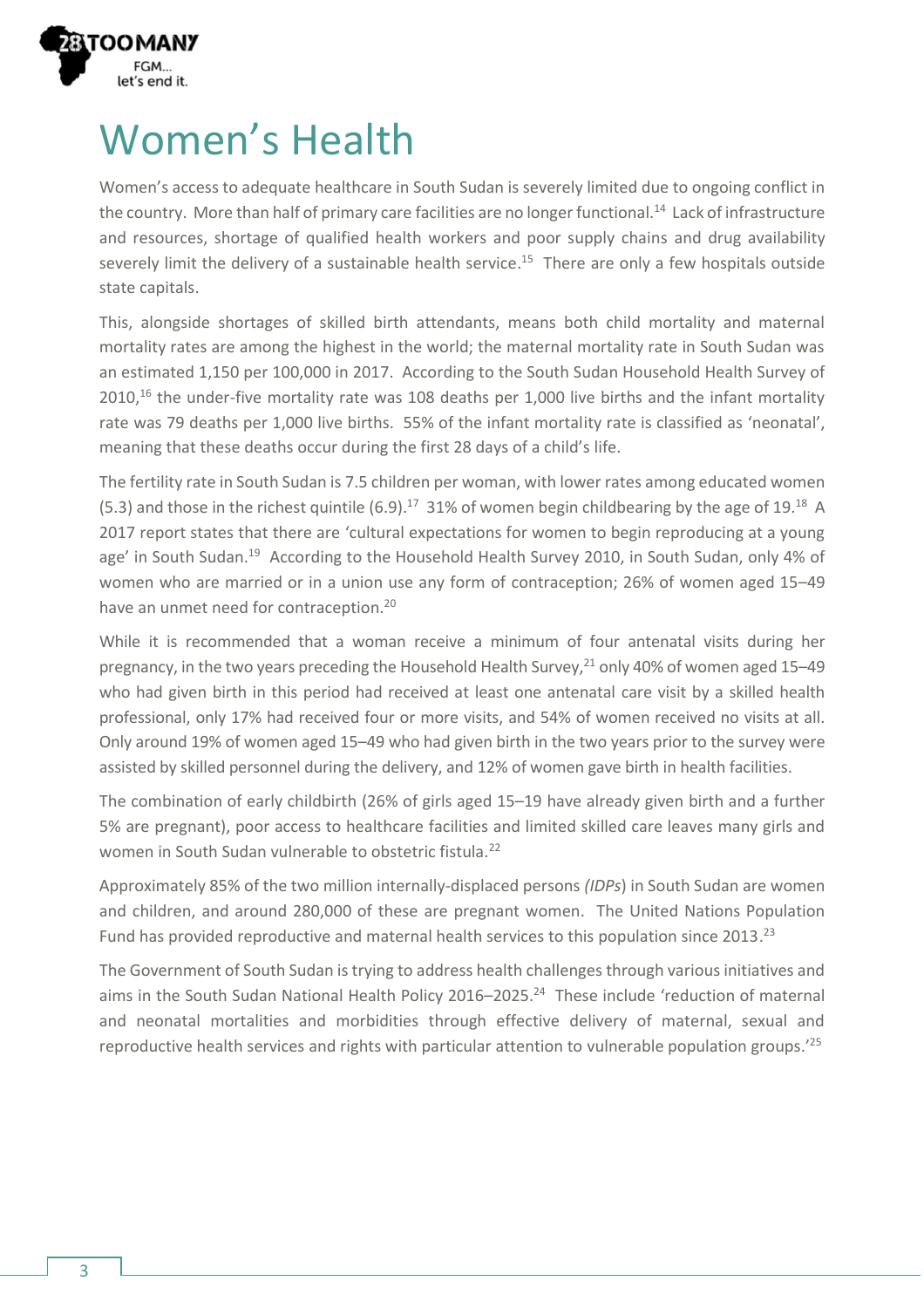

### Women's Health

Women's access to adequate healthcare in South Sudan is severely limited due to ongoing conflict in the country. More than half of primary care facilities are no longer functional. $^{14}$  Lack of infrastructure and resources, shortage of qualified health workers and poor supply chains and drug availability severely limit the delivery of a sustainable health service. <sup>15</sup> There are only a few hospitals outside state capitals.

This, alongside shortages of skilled birth attendants, means both child mortality and maternal mortality rates are among the highest in the world; the maternal mortality rate in South Sudan was an estimated 1,150 per 100,000 in 2017. According to the South Sudan Household Health Survey of 2010,<sup>16</sup> the under-five mortality rate was 108 deaths per 1,000 live births and the infant mortality rate was 79 deaths per 1,000 live births. 55% of the infant mortality rate is classified as 'neonatal', meaning that these deaths occur during the first 28 days of a child's life.

The fertility rate in South Sudan is 7.5 children per woman, with lower rates among educated women (5.3) and those in the richest quintile (6.9).<sup>17</sup> 31% of women begin childbearing by the age of 19.<sup>18</sup> A 2017 report states that there are 'cultural expectations for women to begin reproducing at a young age' in South Sudan.<sup>19</sup> According to the Household Health Survey 2010, in South Sudan, only 4% of women who are married or in a union use any form of contraception; 26% of women aged 15–49 have an unmet need for contraception.<sup>20</sup>

While it is recommended that a woman receive a minimum of four antenatal visits during her pregnancy, in the two years preceding the Household Health Survey, <sup>21</sup> only 40% of women aged 15–49 who had given birth in this period had received at least one antenatal care visit by a skilled health professional, only 17% had received four or more visits, and 54% of women received no visits at all. Only around 19% of women aged 15–49 who had given birth in the two years prior to the survey were assisted by skilled personnel during the delivery, and 12% of women gave birth in health facilities.

The combination of early childbirth (26% of girls aged 15–19 have already given birth and a further 5% are pregnant), poor access to healthcare facilities and limited skilled care leaves many girls and women in South Sudan vulnerable to obstetric fistula.<sup>22</sup>

Approximately 85% of the two million internally-displaced persons *(IDPs*) in South Sudan are women and children, and around 280,000 of these are pregnant women. The United Nations Population Fund has provided reproductive and maternal health services to this population since 2013.<sup>23</sup>

The Government of South Sudan is trying to address health challenges through various initiatives and aims in the South Sudan National Health Policy 2016–2025. <sup>24</sup> These include 'reduction of maternal and neonatal mortalities and morbidities through effective delivery of maternal, sexual and reproductive health services and rights with particular attention to vulnerable population groups.'25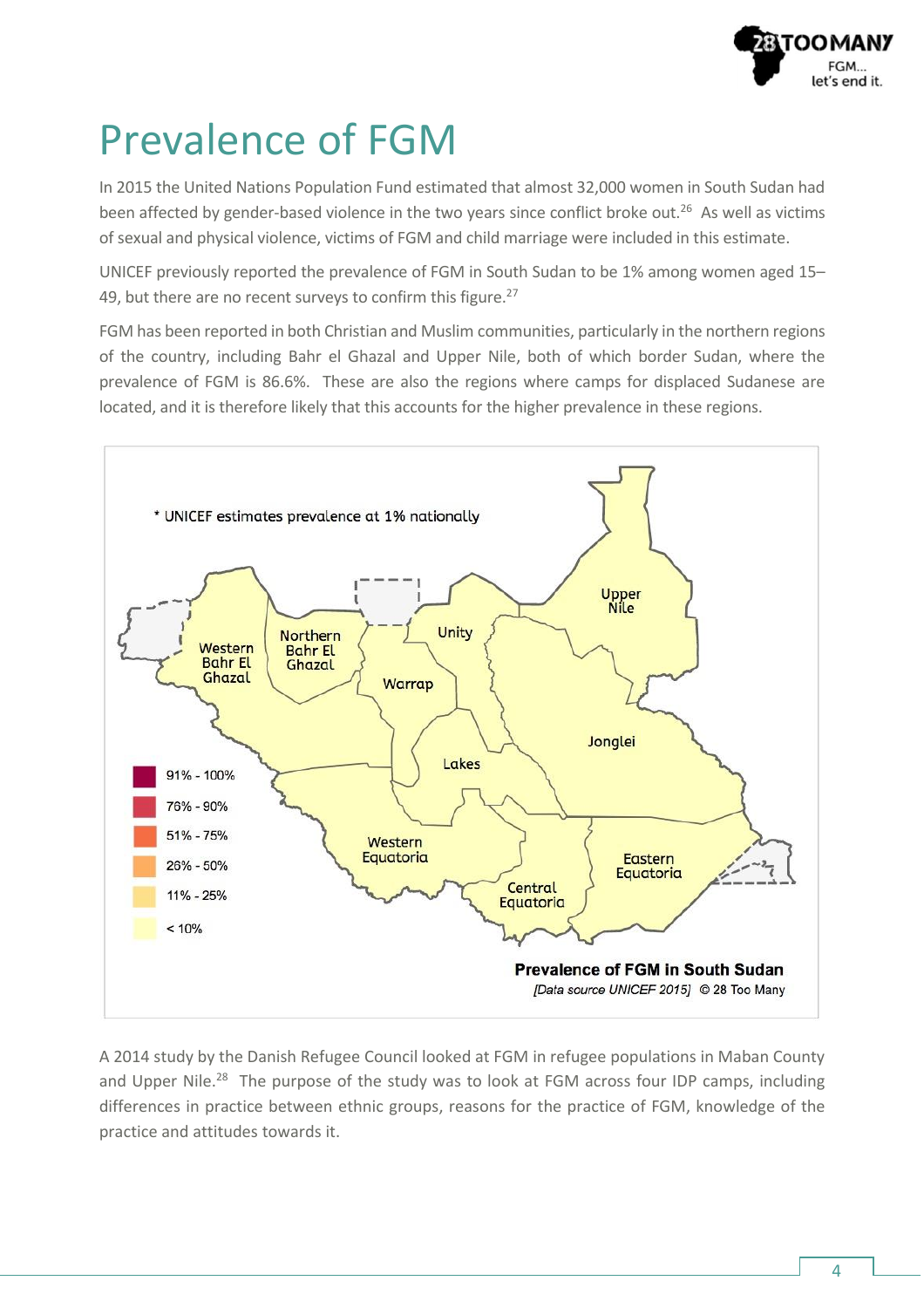

### Prevalence of FGM

In 2015 the United Nations Population Fund estimated that almost 32,000 women in South Sudan had been affected by gender-based violence in the two years since conflict broke out.<sup>26</sup> As well as victims of sexual and physical violence, victims of FGM and child marriage were included in this estimate.

UNICEF previously reported the prevalence of FGM in South Sudan to be 1% among women aged 15– 49, but there are no recent surveys to confirm this figure.<sup>27</sup>

FGM has been reported in both Christian and Muslim communities, particularly in the northern regions of the country, including Bahr el Ghazal and Upper Nile, both of which border Sudan, where the prevalence of FGM is 86.6%. These are also the regions where camps for displaced Sudanese are located, and it is therefore likely that this accounts for the higher prevalence in these regions.



A 2014 study by the Danish Refugee Council looked at FGM in refugee populations in Maban County and Upper Nile.<sup>28</sup> The purpose of the study was to look at FGM across four IDP camps, including differences in practice between ethnic groups, reasons for the practice of FGM, knowledge of the practice and attitudes towards it.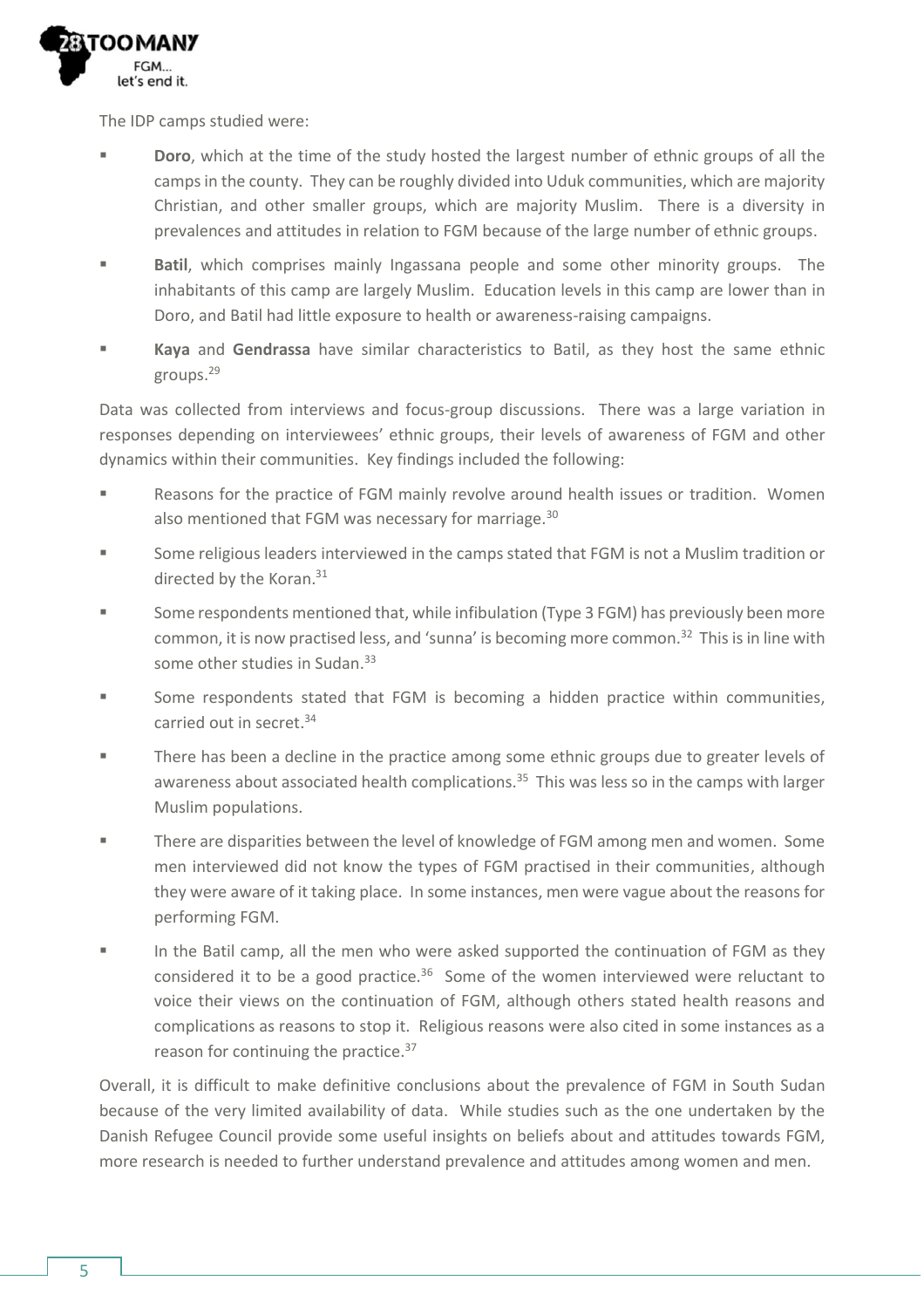

The IDP camps studied were:

- **Doro**, which at the time of the study hosted the largest number of ethnic groups of all the camps in the county. They can be roughly divided into Uduk communities, which are majority Christian, and other smaller groups, which are majority Muslim. There is a diversity in prevalences and attitudes in relation to FGM because of the large number of ethnic groups.
- **Batil**, which comprises mainly Ingassana people and some other minority groups. The inhabitants of this camp are largely Muslim. Education levels in this camp are lower than in Doro, and Batil had little exposure to health or awareness-raising campaigns.
- **Kaya** and **Gendrassa** have similar characteristics to Batil, as they host the same ethnic groups.<sup>29</sup>

Data was collected from interviews and focus-group discussions. There was a large variation in responses depending on interviewees' ethnic groups, their levels of awareness of FGM and other dynamics within their communities. Key findings included the following:

- Reasons for the practice of FGM mainly revolve around health issues or tradition. Women also mentioned that FGM was necessary for marriage.<sup>30</sup>
- Some religious leaders interviewed in the camps stated that FGM is not a Muslim tradition or directed by the Koran. 31
- Some respondents mentioned that, while infibulation (Type 3 FGM) has previously been more common, it is now practised less, and 'sunna' is becoming more common. <sup>32</sup> This is in line with some other studies in Sudan.<sup>33</sup>
- Some respondents stated that FGM is becoming a hidden practice within communities, carried out in secret. 34
- There has been a decline in the practice among some ethnic groups due to greater levels of awareness about associated health complications.<sup>35</sup> This was less so in the camps with larger Muslim populations.
- There are disparities between the level of knowledge of FGM among men and women. Some men interviewed did not know the types of FGM practised in their communities, although they were aware of it taking place. In some instances, men were vague about the reasons for performing FGM.
- In the Batil camp, all the men who were asked supported the continuation of FGM as they considered it to be a good practice.<sup>36</sup> Some of the women interviewed were reluctant to voice their views on the continuation of FGM, although others stated health reasons and complications as reasons to stop it. Religious reasons were also cited in some instances as a reason for continuing the practice.<sup>37</sup>

Overall, it is difficult to make definitive conclusions about the prevalence of FGM in South Sudan because of the very limited availability of data. While studies such as the one undertaken by the Danish Refugee Council provide some useful insights on beliefs about and attitudes towards FGM, more research is needed to further understand prevalence and attitudes among women and men.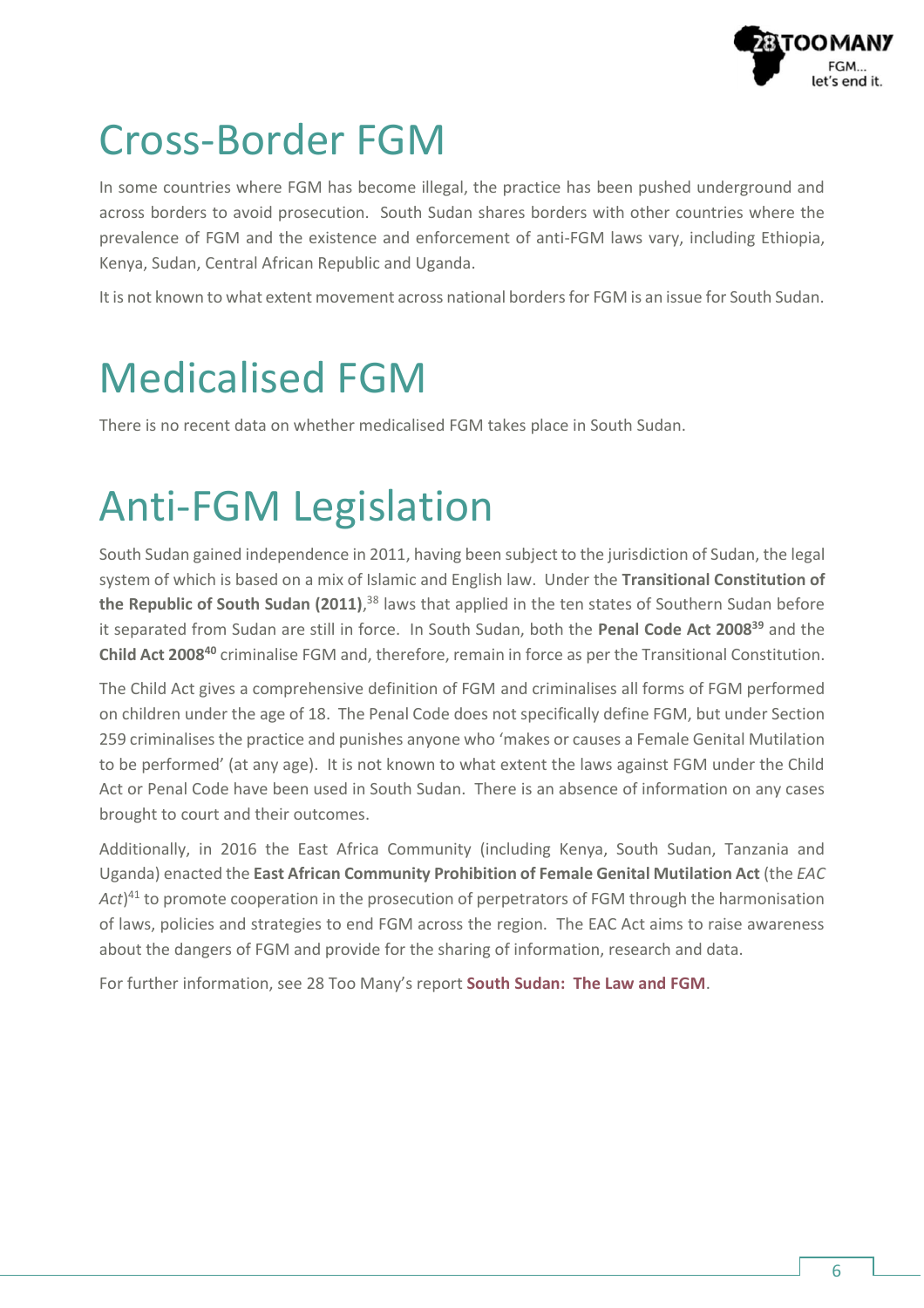

#### Cross-Border FGM

In some countries where FGM has become illegal, the practice has been pushed underground and across borders to avoid prosecution. South Sudan shares borders with other countries where the prevalence of FGM and the existence and enforcement of anti-FGM laws vary, including Ethiopia, Kenya, Sudan, Central African Republic and Uganda.

It is not known to what extent movement across national borders for FGM is an issue for South Sudan.

## Medicalised FGM

There is no recent data on whether medicalised FGM takes place in South Sudan.

## Anti-FGM Legislation

South Sudan gained independence in 2011, having been subject to the jurisdiction of Sudan, the legal system of which is based on a mix of Islamic and English law. Under the **Transitional Constitution of the Republic of South Sudan (2011)**, <sup>38</sup> laws that applied in the ten states of Southern Sudan before it separated from Sudan are still in force. In South Sudan, both the **Penal Code Act 2008<sup>39</sup>** and the **Child Act 2008<sup>40</sup>** criminalise FGM and, therefore, remain in force as per the Transitional Constitution.

The Child Act gives a comprehensive definition of FGM and criminalises all forms of FGM performed on children under the age of 18. The Penal Code does not specifically define FGM, but under Section 259 criminalises the practice and punishes anyone who 'makes or causes a Female Genital Mutilation to be performed' (at any age). It is not known to what extent the laws against FGM under the Child Act or Penal Code have been used in South Sudan. There is an absence of information on any cases brought to court and their outcomes.

Additionally, in 2016 the East Africa Community (including Kenya, South Sudan, Tanzania and Uganda) enacted the **East African Community Prohibition of Female Genital Mutilation Act** (the *EAC*  Act)<sup>41</sup> to promote cooperation in the prosecution of perpetrators of FGM through the harmonisation of laws, policies and strategies to end FGM across the region. The EAC Act aims to raise awareness about the dangers of FGM and provide for the sharing of information, research and data.

For further information, see 28 Too Many's report **[South Sudan: The Law and FGM](https://www.28toomany.org/static/media/uploads/Law%20Reports/south_sudan_law_report_v1_(may_2018).pdf)**.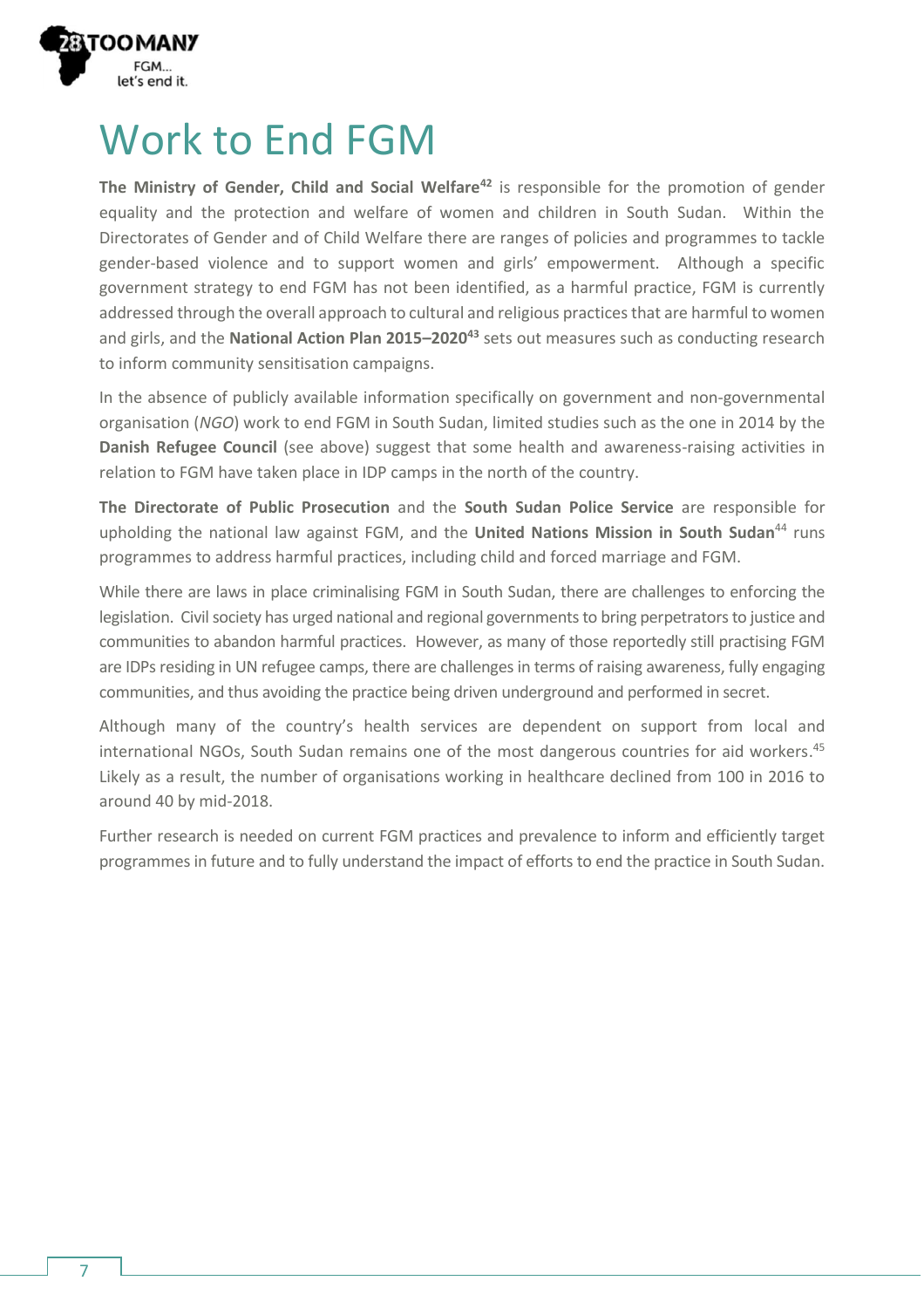

#### Work to End FGM

**The Ministry of Gender, Child and Social Welfare<sup>42</sup>** is responsible for the promotion of gender equality and the protection and welfare of women and children in South Sudan. Within the Directorates of Gender and of Child Welfare there are ranges of policies and programmes to tackle gender-based violence and to support women and girls' empowerment. Although a specific government strategy to end FGM has not been identified, as a harmful practice, FGM is currently addressed through the overall approach to cultural and religious practices that are harmful to women and girls, and the **National Action Plan 2015–2020<sup>43</sup>** sets out measures such as conducting research to inform community sensitisation campaigns.

In the absence of publicly available information specifically on government and non-governmental organisation (*NGO*) work to end FGM in South Sudan, limited studies such as the one in 2014 by the **Danish Refugee Council** (see above) suggest that some health and awareness-raising activities in relation to FGM have taken place in IDP camps in the north of the country.

**The Directorate of Public Prosecution** and the **South Sudan Police Service** are responsible for upholding the national law against FGM, and the United Nations Mission in South Sudan<sup>44</sup> runs programmes to address harmful practices, including child and forced marriage and FGM.

While there are laws in place criminalising FGM in South Sudan, there are challenges to enforcing the legislation. Civil society has urged national and regional governments to bring perpetrators to justice and communities to abandon harmful practices. However, as many of those reportedly still practising FGM are IDPs residing in UN refugee camps, there are challenges in terms of raising awareness, fully engaging communities, and thus avoiding the practice being driven underground and performed in secret.

Although many of the country's health services are dependent on support from local and international NGOs, South Sudan remains one of the most dangerous countries for aid workers. 45 Likely as a result, the number of organisations working in healthcare declined from 100 in 2016 to around 40 by mid-2018.

Further research is needed on current FGM practices and prevalence to inform and efficiently target programmes in future and to fully understand the impact of efforts to end the practice in South Sudan.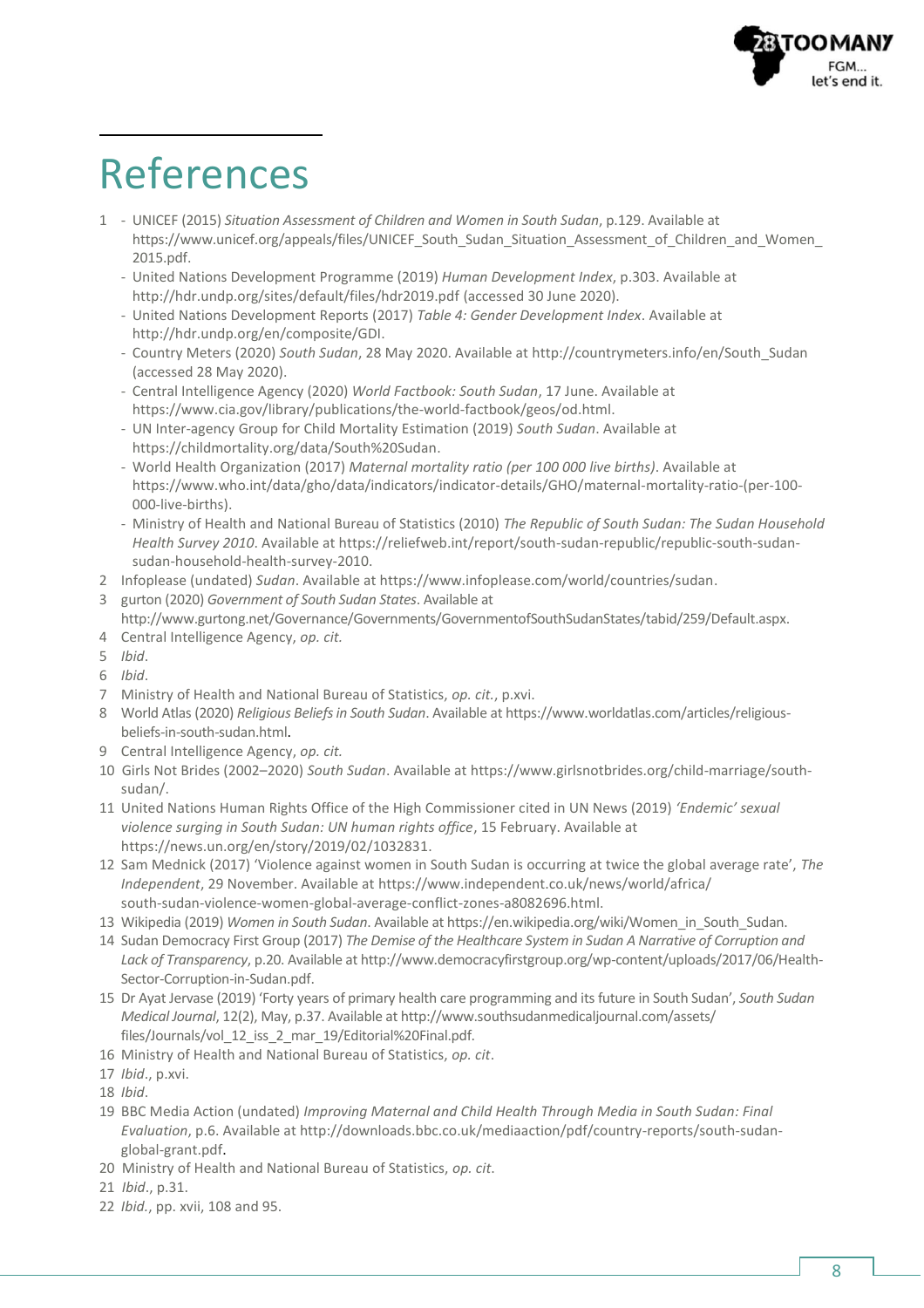

### References

- 1 UNICEF (2015) *Situation Assessment of Children and Women in South Sudan*, p.129. Available at https://www.unicef.org/appeals/files/UNICEF\_South\_Sudan\_Situation\_Assessment\_of\_Children\_and\_Women [2015.pdf.](https://www.unicef.org/appeals/files/UNICEF_South_Sudan_Situation_Assessment_of_Children_and_Women_2015.pdf)
	- United Nations Development Programme (2019) *Human Development Index*, p.303. Available at <http://hdr.undp.org/sites/default/files/hdr2019.pdf> (accessed 30 June 2020).
	- United Nations Development Reports (2017) *Table 4: Gender Development Index*. Available at [http://hdr.undp.org/en/composite/GDI.](http://hdr.undp.org/en/composite/GDI)
	- Country Meters (2020) *South Sudan*, 28 May 2020. Available a[t http://countrymeters.info/en/South\\_Sudan](http://countrymeters.info/en/South_Sudan) (accessed 28 May 2020).
	- Central Intelligence Agency (2020) *World Factbook: South Sudan*, 17 June. Available at [https://www.cia.gov/library/publications/the-world-factbook/geos/od.html.](https://www.cia.gov/library/publications/the-world-factbook/geos/od.html)
	- UN Inter-agency Group for Child Mortality Estimation (2019) *South Sudan*. Available at [https://childmortality.org/data/South%20Sudan.](https://childmortality.org/data/South%20Sudan)
	- World Health Organization (2017) *Maternal mortality ratio (per 100 000 live births)*. Available at [https://www.who.int/data/gho/data/indicators/indicator-details/GHO/maternal-mortality-ratio-\(per-100-](https://www.who.int/data/gho/data/indicators/indicator-details/GHO/maternal-mortality-ratio-(per-100-000-live-births)) [000-live-births\).](https://www.who.int/data/gho/data/indicators/indicator-details/GHO/maternal-mortality-ratio-(per-100-000-live-births))
	- Ministry of Health and National Bureau of Statistics (2010) *The Republic of South Sudan: The Sudan Household Health Survey 2010*. Available at [https://reliefweb.int/report/south-sudan-republic/republic-south-sudan](https://reliefweb.int/report/south-sudan-republic/republic-south-sudan-sudan-household-health-survey-2010)[sudan-household-health-survey-2010.](https://reliefweb.int/report/south-sudan-republic/republic-south-sudan-sudan-household-health-survey-2010)
- 2 Infoplease (undated) *Sudan*. Available a[t https://www.infoplease.com/world/countries/sudan.](https://www.infoplease.com/world/countries/sudan)
- 3 gurton (2020) *Government of South Sudan States*. Available at
- [http://www.gurtong.net/Governance/Governments/GovernmentofSouthSudanStates/tabid/259/Default.aspx.](http://www.gurtong.net/Governance/Governments/GovernmentofSouthSudanStates/tabid/259/Default.aspx)
- 4 Central Intelligence Agency, *op. cit.*
- 5 *Ibid*.
- 6 *Ibid*.
- 7 Ministry of Health and National Bureau of Statistics, *op. cit.*, p.xvi.
- 8 World Atlas (2020) *Religious Beliefs in South Sudan*. Available a[t https://www.worldatlas.com/articles/religious](https://www.worldatlas.com/articles/religious-beliefs-in-south-sudan.html)[beliefs-in-south-sudan.html.](https://www.worldatlas.com/articles/religious-beliefs-in-south-sudan.html)
- 9 Central Intelligence Agency, *op. cit.*
- 10 Girls Not Brides (2002–2020) *South Sudan*. Available at [https://www.girlsnotbrides.org/child-marriage/south](https://www.girlsnotbrides.org/child-marriage/south-sudan/)[sudan/.](https://www.girlsnotbrides.org/child-marriage/south-sudan/)
- 11 United Nations Human Rights Office of the High Commissioner cited in UN News (2019) *'Endemic' sexual violence surging in South Sudan: UN human rights office*, 15 February. Available at [https://news.un.org/en/story/2019/02/1032831.](https://news.un.org/en/story/2019/02/1032831)
- 12 Sam Mednick (2017) 'Violence against women in South Sudan is occurring at twice the global average rate', *The Independent*, 29 November. Available a[t https://www.independent.co.uk/news/world/africa/](https://www.independent.co.uk/news/world/africa/south-sudan-violence-women-global-average-conflict-zones-a8082696.html) [south-sudan-violence-women-global-average-conflict-zones-a8082696.html.](https://www.independent.co.uk/news/world/africa/south-sudan-violence-women-global-average-conflict-zones-a8082696.html)
- 13 Wikipedia (2019) *Women in South Sudan*. Available a[t https://en.wikipedia.org/wiki/Women\\_in\\_South\\_Sudan.](https://en.wikipedia.org/wiki/Women_in_South_Sudan)
- 14 Sudan Democracy First Group (2017) *The Demise of the Healthcare System in Sudan A Narrative of Corruption and Lack of Transparency*, p.20. Available a[t http://www.democracyfirstgroup.org/wp-content/uploads/2017/06/Health-](http://www.democracyfirstgroup.org/wp-content/uploads/2017/06/Health-Sector-Corruption-in-Sudan.pdf)[Sector-Corruption-in-Sudan.pdf.](http://www.democracyfirstgroup.org/wp-content/uploads/2017/06/Health-Sector-Corruption-in-Sudan.pdf)
- 15 Dr Ayat Jervase (2019) 'Forty years of primary health care programming and its future in South Sudan', *South Sudan Medical Journal*, 12(2), May, p.37. Available a[t http://www.southsudanmedicaljournal.com/assets/](http://www.southsudanmedicaljournal.com/assets/files/Journals/vol_12_iss_2_mar_19/Editorial%20Final.pdf) [files/Journals/vol\\_12\\_iss\\_2\\_mar\\_19/Editorial%20Final.pdf.](http://www.southsudanmedicaljournal.com/assets/files/Journals/vol_12_iss_2_mar_19/Editorial%20Final.pdf)
- 16 Ministry of Health and National Bureau of Statistics, *op. cit*.
- 17 *Ibid*., p.xvi.
- 18 *Ibid*.
- 19 BBC Media Action (undated) *Improving Maternal and Child Health Through Media in South Sudan: Final Evaluation*, p.6. Available at [http://downloads.bbc.co.uk/mediaaction/pdf/country-reports/south-sudan](http://downloads.bbc.co.uk/mediaaction/pdf/country-reports/south-sudan-global-grant.pdf)[global-grant.pdf.](http://downloads.bbc.co.uk/mediaaction/pdf/country-reports/south-sudan-global-grant.pdf)
- 20 Ministry of Health and National Bureau of Statistics, *op. cit*.
- 21 *Ibid*., p.31.
- 22 *Ibid.*, pp. xvii, 108 and 95.